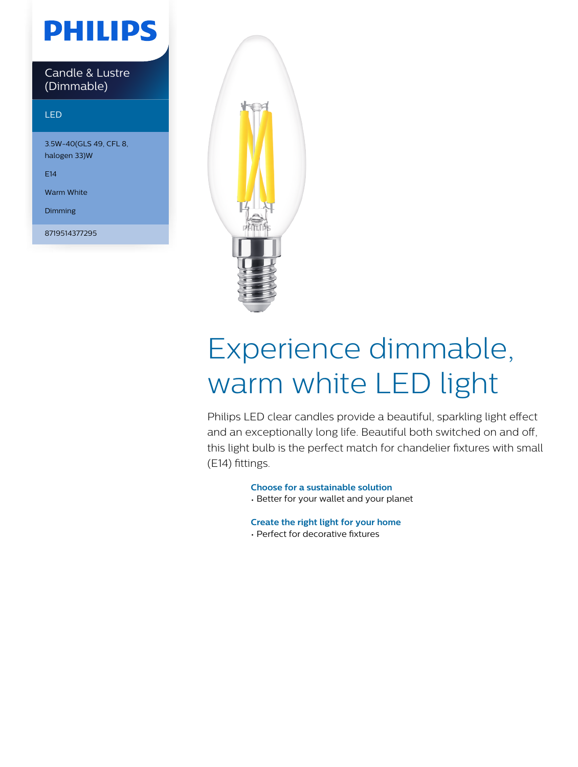## **PHILIPS**

Candle & Lustre (Dimmable)

#### LED

3.5W-40(GLS 49, CFL 8, halogen 33)W

E14

Warm White

Dimming

8719514377295



# Experience dimmable, warm white LED light

Philips LED clear candles provide a beautiful, sparkling light effect and an exceptionally long life. Beautiful both switched on and off, this light bulb is the perfect match for chandelier fixtures with small (E14) fittings.

**Choose for a sustainable solution**

• Better for your wallet and your planet

**Create the right light for your home**

• Perfect for decorative fixtures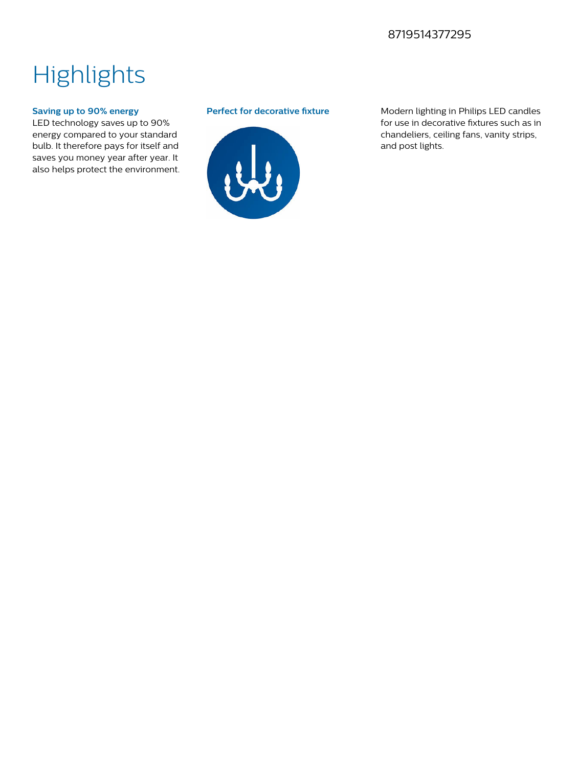### 8719514377295

### **Highlights**

#### **Saving up to 90% energy**

LED technology saves up to 90% energy compared to your standard bulb. It therefore pays for itself and saves you money year after year. It also helps protect the environment.



**Perfect for decorative fixture** Modern lighting in Philips LED candles for use in decorative fixtures such as in chandeliers, ceiling fans, vanity strips, and post lights.